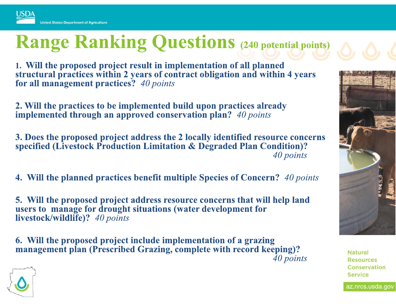**USDA** 

## **Range Ranking Questions (240 potential points)**

1. Will the proposed project result in implementation of all planned structural practices within 2 years of contract obligation and within 4 years for all management practices? 40 points

2. Will the practices to be implemented build upon practices already implemented through an approved conservation plan? 40 points

3. Does the proposed project address the 2 locally identified resource concerns specified (Livestock Production Limitation & Degraded Plan Condition)? 40 points

4. Will the planned practices benefit multiple Species of Concern? 40 points

5. Will the proposed project address resource concerns that will help land users to manage for drought situations (water development for livestock/wildlife)? 40 points

6. Will the proposed project include implementation of a grazing management plan (Prescribed Grazing, complete with record keeping)? 40 points



**Natural Resources** Conservation **Service** 

az.nrcs.usda.gov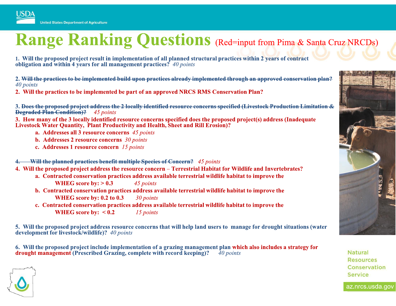## **Range Ranking Questions** (Red=input from Pima & Santa Cruz NRCDs)

1. Will the proposed project result in implementation of all planned structural practices within 2 years of contract obligation and within 4 years for all management practices? 40 points

2. Will the practices to be implemented build upon practices already implemented through an approved conservation plan? 40 points

2. Will the practices to be implemented be part of an approved NRCS RMS Conservation Plan?

3. Does the proposed project address the 2 locally identified resource concerns specified (Livestock Production Limitation & **Degraded Plan Condition**)? 45 points

3. How many of the 3 locally identified resource concerns specified does the proposed project(s) address (Inadequate Livestock Water Quantity, Plant Productivity and Health, Sheet and Rill Erosion)?

a. Addresses all 3 resource concerns 45 points

**b.** Addresses 2 resource concerns  $30$  points

c. Addresses 1 resource concern 15 points

Will the planned practices benefit multiple Species of Concern? 45 points

4. Will the proposed project address the resource concern – Terrestrial Habitat for Wildlife and Invertebrates?

- a. Contracted conservation practices address available terrestrial wildlife habitat to improve the
	- WHEG score by:  $> 0.3$ 45 points
	- b. Contracted conservation practices address available terrestrial wildlife habitat to improve the WHEG score by: 0.2 to 0.3 30 points
	- c. Contracted conservation practices address available terrestrial wildlife habitat to improve the WHEG score by:  $< 0.2$ 15 points

5. Will the proposed project address resource concerns that will help land users to manage for drought situations (water development for livestock/wildlife)? 40 points

6. Will the proposed project include implementation of a grazing management plan which also includes a strategy for drought management (Prescribed Grazing, complete with record keeping)? 40 points



**Natural Resources** Conservation **Service** 

az.nrcs.usda.gov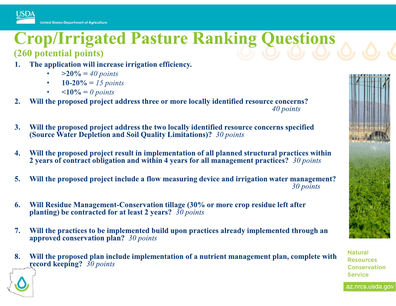

## **Crop/Irrigated Pasture Ranking Questions** (260 potential points)

- The application will increase irrigation efficiency.
	- $>20\% = 40$  points
	- 10-20% = 15 points
	- $\leq 10\% = 0$  points
- Will the proposed project address three or more locally identified resource concerns?  $2.$ 40 points
- Will the proposed project address the two locally identified resource concerns specified  $3.$ (Source Water Depletion and Soil Quality Limitations)? 30 points
- Will the proposed project result in implementation of all planned structural practices within 4. 2 years of contract obligation and within 4 years for all management practices? 30 points
- 5. Will the proposed project include a flow measuring device and irrigation water management? 30 points
- Will Residue Management-Conservation tillage (30% or more crop residue left after 6. planting) be contracted for at least 2 years?  $30$  points
- Will the practices to be implemented build upon practices already implemented through an  $7.$ approved conservation plan? 30 points
- 8. Will the proposed plan include implementation of a nutrient management plan, complete with record keeping?  $30$  points



**Natural Resources** Conservation **Service** 

az.nrcs.usda.gov